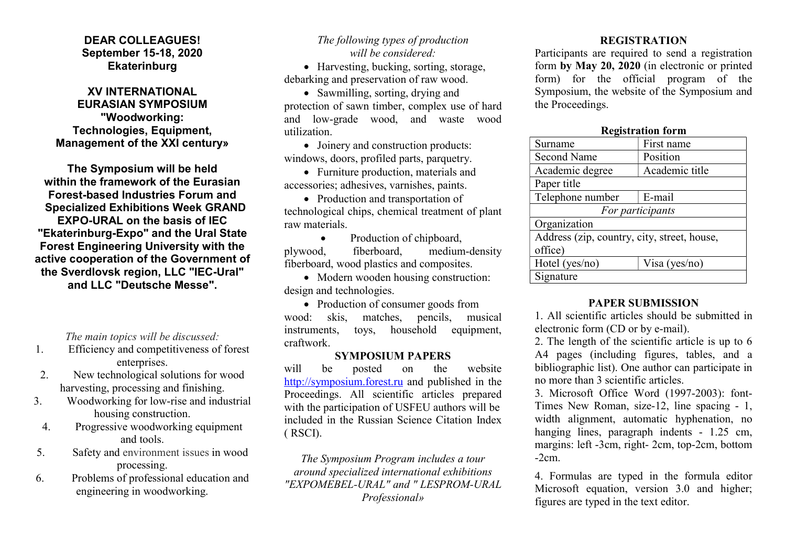## DEAR COLLEAGUES! September 15-18, 2020 **Ekaterinburg**

## XV INTERNATIONAL EURASIAN SYMPOSIUM "Woodworking: Technologies, Equipment, Management of the XXI century»

The Symposium will be held within the framework of the Eurasian Forest-based Industries Forum and Specialized Exhibitions Week GRAND EXPO-URAL on the basis of IEC "Ekaterinburg-Expo" and the Ural State Forest Engineering University with the active cooperation of the Government of the Sverdlovsk region, LLC "IEC-Ural" and LLC "Deutsche Messe".

The main topics will be discussed:

- 1. Efficiency and competitiveness of forest enterprises.
- 2. New technological solutions for wood harvesting, processing and finishing.
- 3. Woodworking for low-rise and industrial housing construction.
- 4. Progressive woodworking equipment and tools.
- 5. Safety and environment issues in wood processing.
- 6. Problems of professional education and engineering in woodworking.

## The following types of production will be considered:

• Harvesting, bucking, sorting, storage, debarking and preservation of raw wood.

• Sawmilling, sorting, drying and protection of sawn timber, complex use of hard and low-grade wood, and waste wood utilization.

• Joinery and construction products: windows, doors, profiled parts, parquetry.

 Furniture production, materials and accessories; adhesives, varnishes, paints.

• Production and transportation of technological chips, chemical treatment of plant raw materials.

• Production of chipboard, plywood, fiberboard, medium-density fiberboard, wood plastics and composites.

• Modern wooden housing construction: design and technologies.

• Production of consumer goods from wood: skis, matches, pencils, musical instruments, toys, household equipment, craftwork.

#### SYMPOSIUM PAPERS

will be posted on the website http://symposium.forest.ru and published in the Proceedings. All scientific articles prepared with the participation of USFEU authors will be included in the Russian Science Citation Index ( RSCI).

The Symposium Program includes a tour around specialized international exhibitions "EXPOMEBEL-URAL" and " LESPROM-URAL Professional»

# **REGISTRATION**

Participants are required to send a registration form by May 20, 2020 (in electronic or printed form) for the official program of the Symposium, the website of the Symposium and the Proceedings.

## Registration form Surname First name Second Name Position Academic degree | Academic title

| Paper title                                 |               |
|---------------------------------------------|---------------|
| Telephone number                            | E-mail        |
| For participants                            |               |
| Organization                                |               |
| Address (zip, country, city, street, house, |               |
| office)                                     |               |
| Hotel ( $yes/no)$ )                         | Visa (yes/no) |
| Signature                                   |               |

## PAPER SUBMISSION

1. All scientific articles should be submitted in electronic form (CD or by e-mail).

2. The length of the scientific article is up to 6 A4 pages (including figures, tables, and a bibliographic list). One author can participate in no more than 3 scientific articles.

3. Microsoft Office Word (1997-2003): font-Times New Roman, size-12, line spacing - 1, width alignment, automatic hyphenation, no hanging lines, paragraph indents - 1.25 cm, margins: left -3cm, right- 2cm, top-2cm, bottom -2cm.

4. Formulas are typed in the formula editor Microsoft equation, version 3.0 and higher; figures are typed in the text editor.